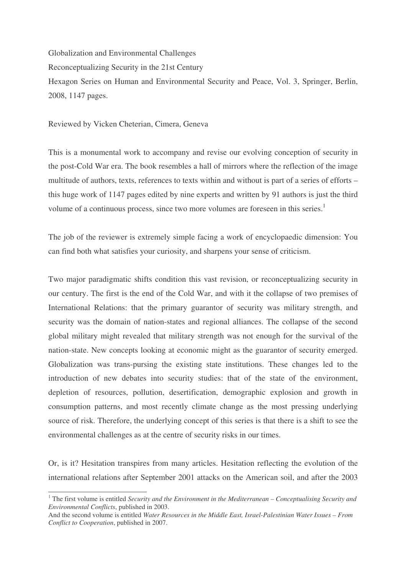Globalization and Environmental Challenges Reconceptualizing Security in the 21st Century Hexagon Series on Human and Environmental Security and Peace, Vol. 3, Springer, Berlin, 2008, 1147 pages.

Reviewed by Vicken Cheterian, Cimera, Geneva

This is a monumental work to accompany and revise our evolving conception of security in the post-Cold War era. The book resembles a hall of mirrors where the reflection of the image multitude of authors, texts, references to texts within and without is part of a series of efforts – this huge work of 1147 pages edited by nine experts and written by 91 authors is just the third volume of a continuous process, since two more volumes are foreseen in this series.<sup>1</sup>

The job of the reviewer is extremely simple facing a work of encyclopaedic dimension: You can find both what satisfies your curiosity, and sharpens your sense of criticism.

Two major paradigmatic shifts condition this vast revision, or reconceptualizing security in our century. The first is the end of the Cold War, and with it the collapse of two premises of International Relations: that the primary guarantor of security was military strength, and security was the domain of nation-states and regional alliances. The collapse of the second global military might revealed that military strength was not enough for the survival of the nation-state. New concepts looking at economic might as the guarantor of security emerged. Globalization was trans-pursing the existing state institutions. These changes led to the introduction of new debates into security studies: that of the state of the environment, depletion of resources, pollution, desertification, demographic explosion and growth in consumption patterns, and most recently climate change as the most pressing underlying source of risk. Therefore, the underlying concept of this series is that there is a shift to see the environmental challenges as at the centre of security risks in our times.

Or, is it? Hesitation transpires from many articles. Hesitation reflecting the evolution of the international relations after September 2001 attacks on the American soil, and after the 2003

<sup>1</sup> The first volume is entitled *Security and the Environment in the Mediterranean – Conceptualising Security and Environmental Conflicts*, published in 2003.

And the second volume is entitled *Water Resources in the Middle East, Israel-Palestinian Water Issues – From Conflict to Cooperation*, published in 2007.